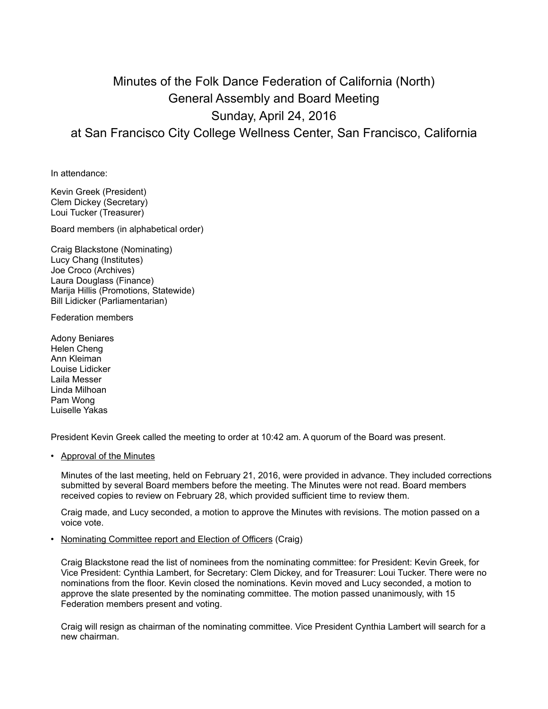## Minutes of the Folk Dance Federation of California (North) General Assembly and Board Meeting Sunday, April 24, 2016 at San Francisco City College Wellness Center, San Francisco, California

In attendance:

Kevin Greek (President) Clem Dickey (Secretary) Loui Tucker (Treasurer)

Board members (in alphabetical order)

Craig Blackstone (Nominating) Lucy Chang (Institutes) Joe Croco (Archives) Laura Douglass (Finance) Marija Hillis (Promotions, Statewide) Bill Lidicker (Parliamentarian)

Federation members

Adony Beniares Helen Cheng Ann Kleiman Louise Lidicker Laila Messer Linda Milhoan Pam Wong Luiselle Yakas

President Kevin Greek called the meeting to order at 10:42 am. A quorum of the Board was present.

• Approval of the Minutes

Minutes of the last meeting, held on February 21, 2016, were provided in advance. They included corrections submitted by several Board members before the meeting. The Minutes were not read. Board members received copies to review on February 28, which provided sufficient time to review them.

Craig made, and Lucy seconded, a motion to approve the Minutes with revisions. The motion passed on a voice vote.

• Nominating Committee report and Election of Officers (Craig)

Craig Blackstone read the list of nominees from the nominating committee: for President: Kevin Greek, for Vice President: Cynthia Lambert, for Secretary: Clem Dickey, and for Treasurer: Loui Tucker. There were no nominations from the floor. Kevin closed the nominations. Kevin moved and Lucy seconded, a motion to approve the slate presented by the nominating committee. The motion passed unanimously, with 15 Federation members present and voting.

Craig will resign as chairman of the nominating committee. Vice President Cynthia Lambert will search for a new chairman.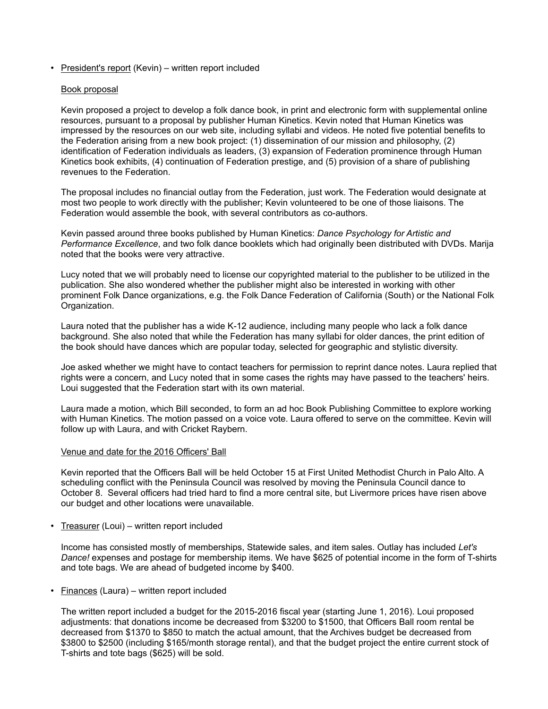• President's report (Kevin) – written report included

## Book proposal

Kevin proposed a project to develop a folk dance book, in print and electronic form with supplemental online resources, pursuant to a proposal by publisher Human Kinetics. Kevin noted that Human Kinetics was impressed by the resources on our web site, including syllabi and videos. He noted five potential benefits to the Federation arising from a new book project: (1) dissemination of our mission and philosophy, (2) identification of Federation individuals as leaders, (3) expansion of Federation prominence through Human Kinetics book exhibits, (4) continuation of Federation prestige, and (5) provision of a share of publishing revenues to the Federation.

The proposal includes no financial outlay from the Federation, just work. The Federation would designate at most two people to work directly with the publisher; Kevin volunteered to be one of those liaisons. The Federation would assemble the book, with several contributors as co-authors.

Kevin passed around three books published by Human Kinetics: *Dance Psychology for Artistic and Performance Excellence*, and two folk dance booklets which had originally been distributed with DVDs. Marija noted that the books were very attractive.

Lucy noted that we will probably need to license our copyrighted material to the publisher to be utilized in the publication. She also wondered whether the publisher might also be interested in working with other prominent Folk Dance organizations, e.g. the Folk Dance Federation of California (South) or the National Folk Organization.

Laura noted that the publisher has a wide K-12 audience, including many people who lack a folk dance background. She also noted that while the Federation has many syllabi for older dances, the print edition of the book should have dances which are popular today, selected for geographic and stylistic diversity.

Joe asked whether we might have to contact teachers for permission to reprint dance notes. Laura replied that rights were a concern, and Lucy noted that in some cases the rights may have passed to the teachers' heirs. Loui suggested that the Federation start with its own material.

Laura made a motion, which Bill seconded, to form an ad hoc Book Publishing Committee to explore working with Human Kinetics. The motion passed on a voice vote. Laura offered to serve on the committee. Kevin will follow up with Laura, and with Cricket Raybern.

## Venue and date for the 2016 Officers' Ball

Kevin reported that the Officers Ball will be held October 15 at First United Methodist Church in Palo Alto. A scheduling conflict with the Peninsula Council was resolved by moving the Peninsula Council dance to October 8. Several officers had tried hard to find a more central site, but Livermore prices have risen above our budget and other locations were unavailable.

• Treasurer (Loui) – written report included

Income has consisted mostly of memberships, Statewide sales, and item sales. Outlay has included *Let's Dance!* expenses and postage for membership items. We have \$625 of potential income in the form of T-shirts and tote bags. We are ahead of budgeted income by \$400.

• Finances (Laura) – written report included

The written report included a budget for the 2015-2016 fiscal year (starting June 1, 2016). Loui proposed adjustments: that donations income be decreased from \$3200 to \$1500, that Officers Ball room rental be decreased from \$1370 to \$850 to match the actual amount, that the Archives budget be decreased from \$3800 to \$2500 (including \$165/month storage rental), and that the budget project the entire current stock of T-shirts and tote bags (\$625) will be sold.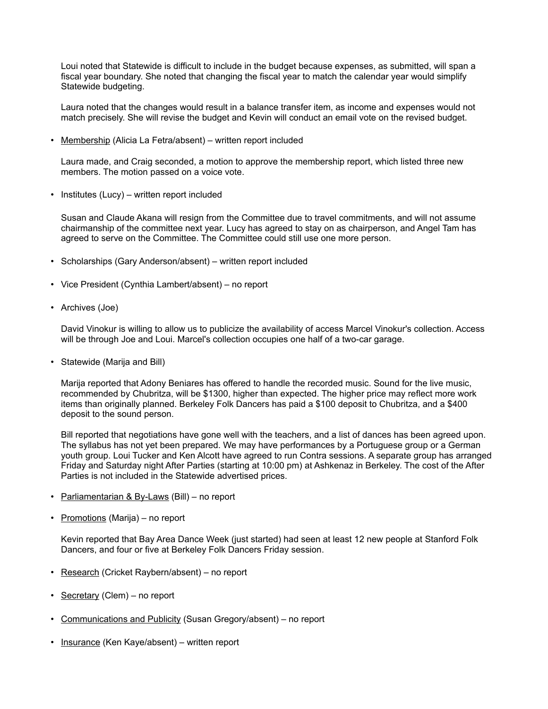Loui noted that Statewide is difficult to include in the budget because expenses, as submitted, will span a fiscal year boundary. She noted that changing the fiscal year to match the calendar year would simplify Statewide budgeting.

Laura noted that the changes would result in a balance transfer item, as income and expenses would not match precisely. She will revise the budget and Kevin will conduct an email vote on the revised budget.

• Membership (Alicia La Fetra/absent) – written report included

Laura made, and Craig seconded, a motion to approve the membership report, which listed three new members. The motion passed on a voice vote.

• Institutes (Lucy) – written report included

Susan and Claude Akana will resign from the Committee due to travel commitments, and will not assume chairmanship of the committee next year. Lucy has agreed to stay on as chairperson, and Angel Tam has agreed to serve on the Committee. The Committee could still use one more person.

- Scholarships (Gary Anderson/absent) written report included
- Vice President (Cynthia Lambert/absent) no report
- Archives (Joe)

David Vinokur is willing to allow us to publicize the availability of access Marcel Vinokur's collection. Access will be through Joe and Loui. Marcel's collection occupies one half of a two-car garage.

• Statewide (Marija and Bill)

Marija reported that Adony Beniares has offered to handle the recorded music. Sound for the live music, recommended by Chubritza, will be \$1300, higher than expected. The higher price may reflect more work items than originally planned. Berkeley Folk Dancers has paid a \$100 deposit to Chubritza, and a \$400 deposit to the sound person.

Bill reported that negotiations have gone well with the teachers, and a list of dances has been agreed upon. The syllabus has not yet been prepared. We may have performances by a Portuguese group or a German youth group. Loui Tucker and Ken Alcott have agreed to run Contra sessions. A separate group has arranged Friday and Saturday night After Parties (starting at 10:00 pm) at Ashkenaz in Berkeley. The cost of the After Parties is not included in the Statewide advertised prices.

- Parliamentarian & By-Laws (Bill) no report
- Promotions (Marija) no report

Kevin reported that Bay Area Dance Week (just started) had seen at least 12 new people at Stanford Folk Dancers, and four or five at Berkeley Folk Dancers Friday session.

- Research (Cricket Raybern/absent) no report
- Secretary (Clem) no report
- Communications and Publicity (Susan Gregory/absent) no report
- Insurance (Ken Kaye/absent) written report